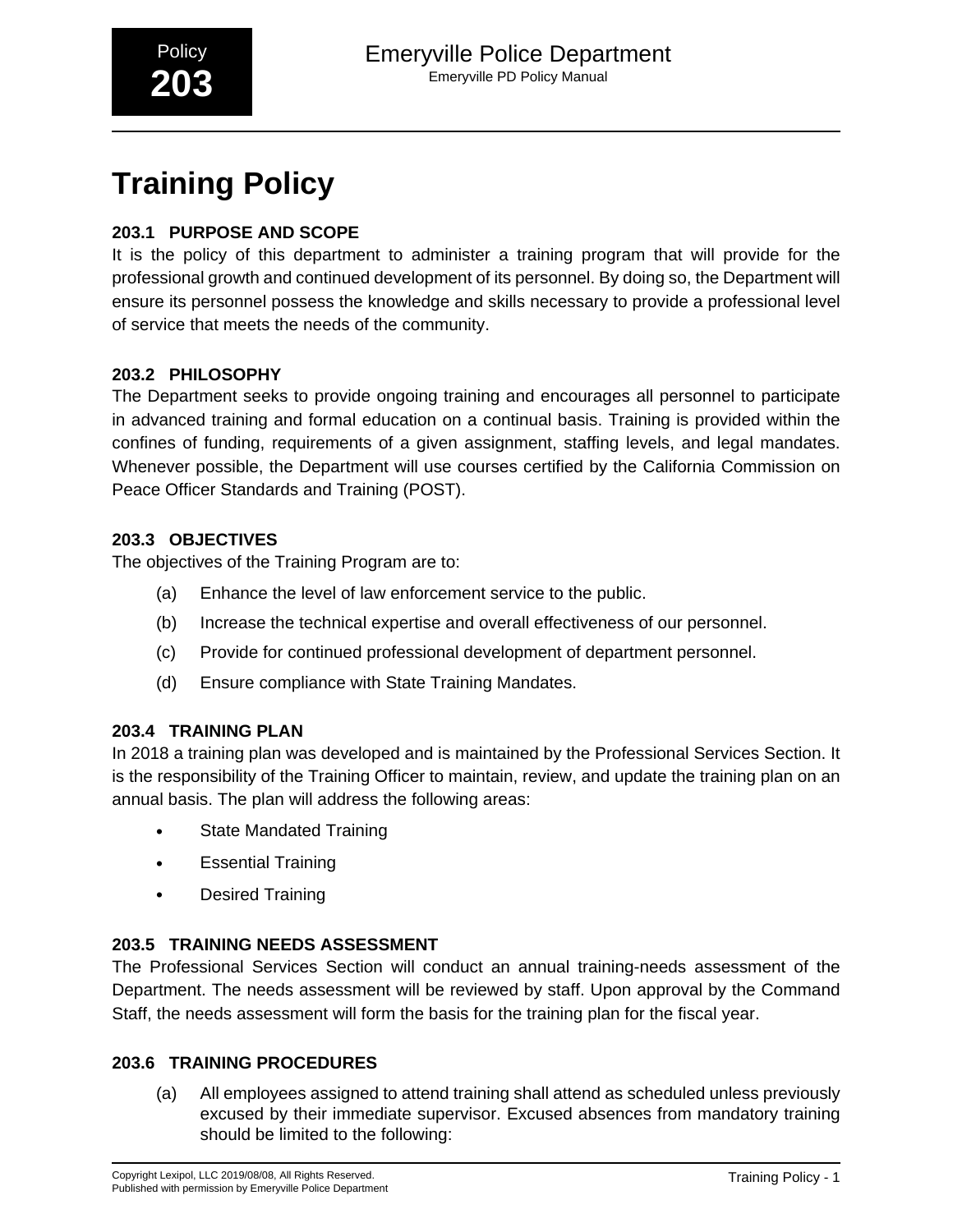# **Training Policy**

# **203.1 PURPOSE AND SCOPE**

It is the policy of this department to administer a training program that will provide for the professional growth and continued development of its personnel. By doing so, the Department will ensure its personnel possess the knowledge and skills necessary to provide a professional level of service that meets the needs of the community.

# **203.2 PHILOSOPHY**

The Department seeks to provide ongoing training and encourages all personnel to participate in advanced training and formal education on a continual basis. Training is provided within the confines of funding, requirements of a given assignment, staffing levels, and legal mandates. Whenever possible, the Department will use courses certified by the California Commission on Peace Officer Standards and Training (POST).

## **203.3 OBJECTIVES**

The objectives of the Training Program are to:

- (a) Enhance the level of law enforcement service to the public.
- (b) Increase the technical expertise and overall effectiveness of our personnel.
- (c) Provide for continued professional development of department personnel.
- (d) Ensure compliance with State Training Mandates.

### **203.4 TRAINING PLAN**

In 2018 a training plan was developed and is maintained by the Professional Services Section. It is the responsibility of the Training Officer to maintain, review, and update the training plan on an annual basis. The plan will address the following areas:

- State Mandated Training
- Essential Training
- Desired Training

# **203.5 TRAINING NEEDS ASSESSMENT**

The Professional Services Section will conduct an annual training-needs assessment of the Department. The needs assessment will be reviewed by staff. Upon approval by the Command Staff, the needs assessment will form the basis for the training plan for the fiscal year.

### **203.6 TRAINING PROCEDURES**

(a) All employees assigned to attend training shall attend as scheduled unless previously excused by their immediate supervisor. Excused absences from mandatory training should be limited to the following: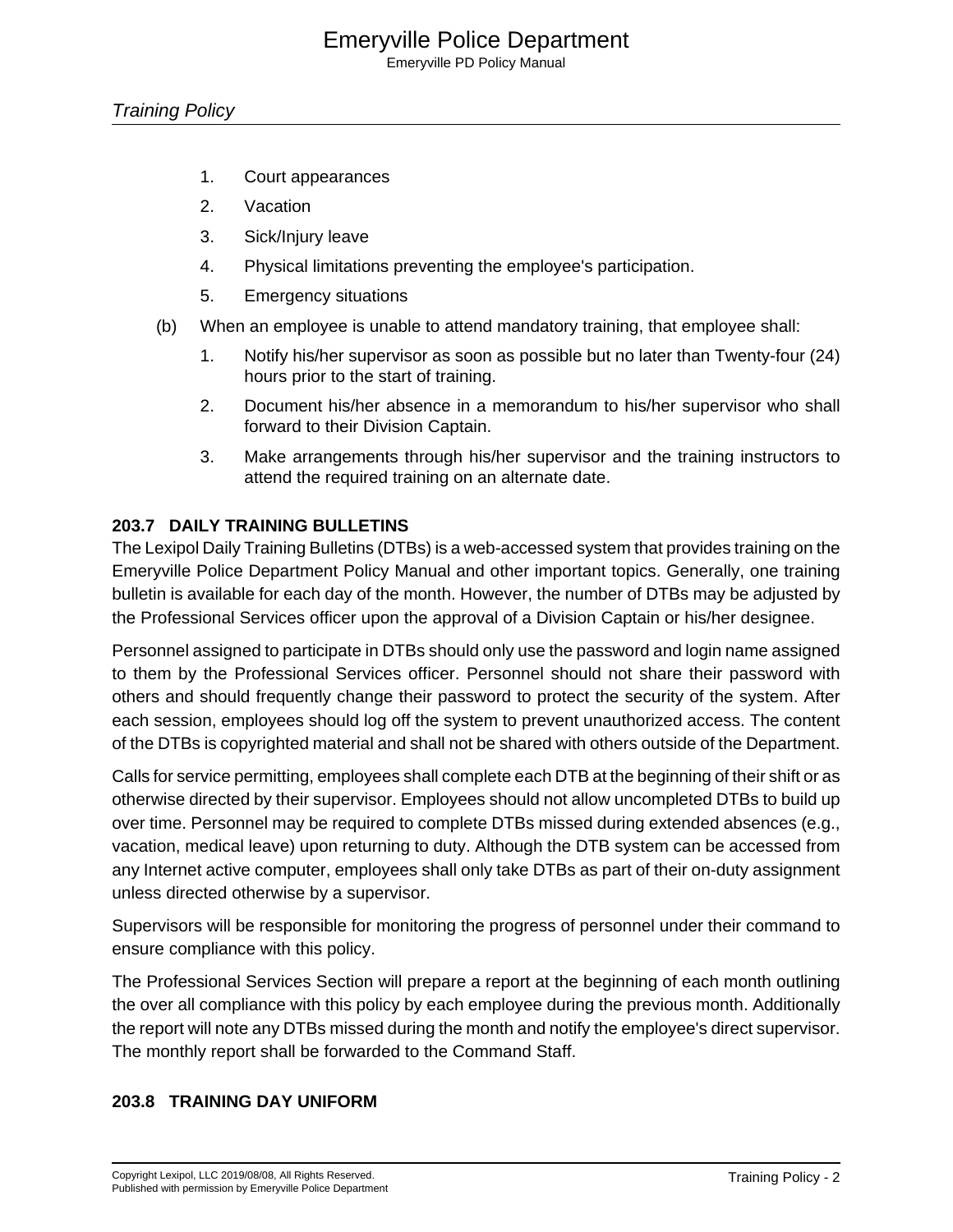Emeryville PD Policy Manual

- 1. Court appearances
- 2. Vacation
- 3. Sick/Injury leave
- 4. Physical limitations preventing the employee's participation.
- 5. Emergency situations
- (b) When an employee is unable to attend mandatory training, that employee shall:
	- 1. Notify his/her supervisor as soon as possible but no later than Twenty-four (24) hours prior to the start of training.
	- 2. Document his/her absence in a memorandum to his/her supervisor who shall forward to their Division Captain.
	- 3. Make arrangements through his/her supervisor and the training instructors to attend the required training on an alternate date.

## **203.7 DAILY TRAINING BULLETINS**

The Lexipol Daily Training Bulletins (DTBs) is a web-accessed system that provides training on the Emeryville Police Department Policy Manual and other important topics. Generally, one training bulletin is available for each day of the month. However, the number of DTBs may be adjusted by the Professional Services officer upon the approval of a Division Captain or his/her designee.

Personnel assigned to participate in DTBs should only use the password and login name assigned to them by the Professional Services officer. Personnel should not share their password with others and should frequently change their password to protect the security of the system. After each session, employees should log off the system to prevent unauthorized access. The content of the DTBs is copyrighted material and shall not be shared with others outside of the Department.

Calls for service permitting, employees shall complete each DTB at the beginning of their shift or as otherwise directed by their supervisor. Employees should not allow uncompleted DTBs to build up over time. Personnel may be required to complete DTBs missed during extended absences (e.g., vacation, medical leave) upon returning to duty. Although the DTB system can be accessed from any Internet active computer, employees shall only take DTBs as part of their on-duty assignment unless directed otherwise by a supervisor.

Supervisors will be responsible for monitoring the progress of personnel under their command to ensure compliance with this policy.

The Professional Services Section will prepare a report at the beginning of each month outlining the over all compliance with this policy by each employee during the previous month. Additionally the report will note any DTBs missed during the month and notify the employee's direct supervisor. The monthly report shall be forwarded to the Command Staff.

### **203.8 TRAINING DAY UNIFORM**